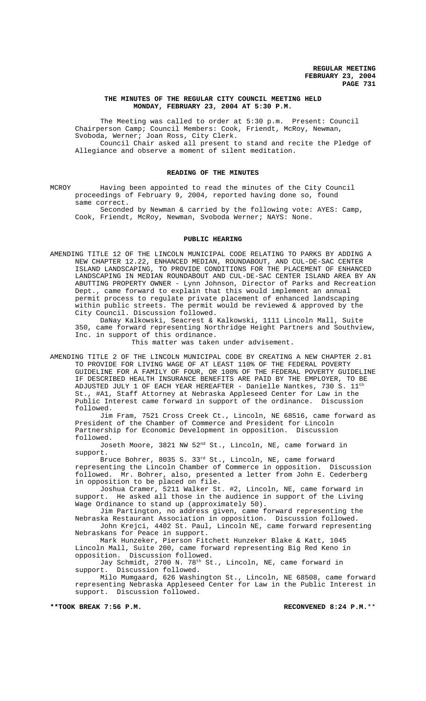### **THE MINUTES OF THE REGULAR CITY COUNCIL MEETING HELD MONDAY, FEBRUARY 23, 2004 AT 5:30 P.M.**

The Meeting was called to order at 5:30 p.m. Present: Council Chairperson Camp; Council Members: Cook, Friendt, McRoy, Newman, Svoboda, Werner; Joan Ross, City Clerk.

Council Chair asked all present to stand and recite the Pledge of Allegiance and observe a moment of silent meditation.

### **READING OF THE MINUTES**

MCROY Having been appointed to read the minutes of the City Council proceedings of February 9, 2004, reported having done so, found same correct.

Seconded by Newman & carried by the following vote: AYES: Camp, Cook, Friendt, McRoy, Newman, Svoboda Werner; NAYS: None.

### **PUBLIC HEARING**

AMENDING TITLE 12 OF THE LINCOLN MUNICIPAL CODE RELATING TO PARKS BY ADDING A NEW CHAPTER 12.22, ENHANCED MEDIAN, ROUNDABOUT, AND CUL-DE-SAC CENTER ISLAND LANDSCAPING, TO PROVIDE CONDITIONS FOR THE PLACEMENT OF ENHANCED LANDSCAPING IN MEDIAN ROUNDABOUT AND CUL-DE-SAC CENTER ISLAND AREA BY AN ABUTTING PROPERTY OWNER - Lynn Johnson, Director of Parks and Recreation Dept., came forward to explain that this would implement an annual permit process to regulate private placement of enhanced landscaping within public streets. The permit would be reviewed & approved by the City Council. Discussion followed.

DaNay Kalkowski, Seacrest & Kalkowski, 1111 Lincoln Mall, Suite 350, came forward representing Northridge Height Partners and Southview, Inc. in support of this ordinance.

This matter was taken under advisement.

AMENDING TITLE 2 OF THE LINCOLN MUNICIPAL CODE BY CREATING A NEW CHAPTER 2.81 TO PROVIDE FOR LIVING WAGE OF AT LEAST 110% OF THE FEDERAL POVERTY GUIDELINE FOR A FAMILY OF FOUR, OR 100% OF THE FEDERAL POVERTY GUIDELINE IF DESCRIBED HEALTH INSURANCE BENEFITS ARE PAID BY THE EMPLOYER, TO BE ADJUSTED JULY 1 OF EACH YEAR HEREAFTER - Danielle Nantkes, 730 S. 11th St., #A1, Staff Attorney at Nebraska Appleseed Center for Law in the Public Interest came forward in support of the ordinance. followed.

Jim Fram, 7521 Cross Creek Ct., Lincoln, NE 68516, came forward as President of the Chamber of Commerce and President for Lincoln Partnership for Economic Development in opposition. Discussion followed.

Joseth Moore, 3821 NW 52<sup>nd</sup> St., Lincoln, NE, came forward in support.

Bruce Bohrer, 8035 S. 33<sup>rd</sup> St., Lincoln, NE, came forward representing the Lincoln Chamber of Commerce in opposition. Discussion followed. Mr. Bohrer, also, presented a letter from John E. Cederberg in opposition to be placed on file.

Joshua Cramer, 5211 Walker St. #2, Lincoln, NE, came forward in support. He asked all those in the audience in support of the Living Wage Ordinance to stand up (approximately 50).

Jim Partington, no address given, came forward representing the Nebraska Restaurant Association in opposition. Discussion followed. John Krejci, 4402 St. Paul, Lincoln NE, came forward representing

Nebraskans for Peace in support. Mark Hunzeker, Pierson Fitchett Hunzeker Blake & Katt, 1045

Lincoln Mall, Suite 200, came forward representing Big Red Keno in opposition. Discussion followed.

Jay Schmidt, 2700 N. 78<sup>th</sup> St., Lincoln, NE, came forward in support. Discussion followed. Discussion followed.

Milo Mumgaard, 626 Washington St., Lincoln, NE 68508, came forward representing Nebraska Appleseed Center for Law in the Public Interest in support. Discussion followed.

**\*\*TOOK BREAK 7:56 P.M. RECONVENED 8:24 P.M.**\*\*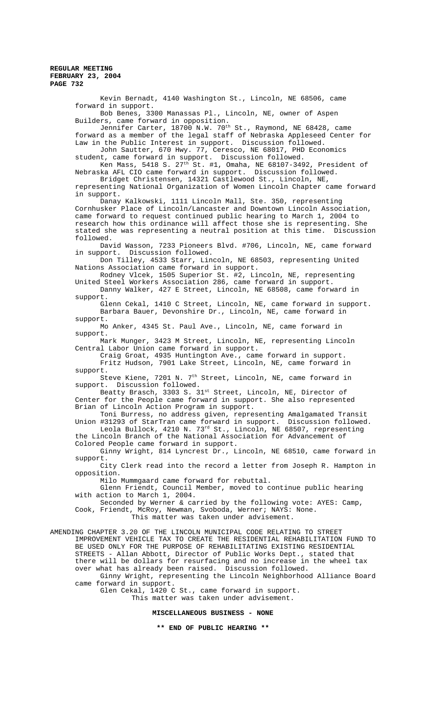Kevin Bernadt, 4140 Washington St., Lincoln, NE 68506, came forward in support. Bob Benes, 3300 Manassas Pl., Lincoln, NE, owner of Aspen Builders, came forward in opposition. Jennifer Carter, 18700 N.W. 70<sup>th</sup> St., Raymond, NE 68428, came forward as a member of the legal staff of Nebraska Appleseed Center for Law in the Public Interest in support. Discussion followed. John Sautter, 670 Hwy. 77, Ceresco, NE 68017, PHD Economics student, came forward in support. Discussion followed. Ken Mass, 5418 S. 27 $^{\rm th}$  St. #1, Omaha, NE 68107-3492, President of Nebraska AFL CIO came forward in support. Discussion followed. Bridget Christensen, 14321 Castlewood St., Lincoln, NE, representing National Organization of Women Lincoln Chapter came forward in support. Danay Kalkowski, 1111 Lincoln Mall, Ste. 350, representing Cornhusker Place of Lincoln/Lancaster and Downtown Lincoln Association, came forward to request continued public hearing to March 1, 2004 to research how this ordinance will affect those she is representing. She stated she was representing a neutral position at this time. Discussion followed. David Wasson, 7233 Pioneers Blvd. #706, Lincoln, NE, came forward<br>in support. Discussion followed. Discussion followed. Don Tilley, 4533 Starr, Lincoln, NE 68503, representing United Nations Association came forward in support. Rodney Vlcek, 1505 Superior St. #2, Lincoln, NE, representing United Steel Workers Association 286, came forward in support. Danny Walker, 427 E Street, Lincoln, NE 68508, came forward in support. Glenn Cekal, 1410 C Street, Lincoln, NE, came forward in support. Barbara Bauer, Devonshire Dr., Lincoln, NE, came forward in support. Mo Anker, 4345 St. Paul Ave., Lincoln, NE, came forward in support. Mark Munger, 3423 M Street, Lincoln, NE, representing Lincoln Central Labor Union came forward in support. Craig Groat, 4935 Huntington Ave., came forward in support. Fritz Hudson, 7901 Lake Street, Lincoln, NE, came forward in support. Steve Kiene, 7201 N. 7<sup>th</sup> Street, Lincoln, NE, came forward in support. Discussion followed. Beatty Brasch, 3303 S. 31st Street, Lincoln, NE, Director of Center for the People came forward in support. She also represented Brian of Lincoln Action Program in support. Toni Burress, no address given, representing Amalgamated Transit Union #31293 of StarTran came forward in support. Discussion followed. Leola Bullock, 4210 N. 73<sup>rd</sup> St., Lincoln, NE 68507, representing the Lincoln Branch of the National Association for Advancement of Colored People came forward in support. Ginny Wright, 814 Lyncrest Dr., Lincoln, NE 68510, came forward in support. City Clerk read into the record a letter from Joseph R. Hampton in opposition. Milo Mummgaard came forward for rebuttal. Glenn Friendt, Council Member, moved to continue public hearing with action to March 1, 2004. Seconded by Werner & carried by the following vote: AYES: Camp, Cook, Friendt, McRoy, Newman, Svoboda, Werner; NAYS: None. This matter was taken under advisement. AMENDING CHAPTER 3.20 OF THE LINCOLN MUNICIPAL CODE RELATING TO STREET IMPROVEMENT VEHICLE TAX TO CREATE THE RESIDENTIAL REHABILITATION FUND TO BE USED ONLY FOR THE PURPOSE OF REHABILITATING EXISTING RESIDENTIAL STREETS - Allan Abbott, Director of Public Works Dept., stated that there will be dollars for resurfacing and no increase in the wheel tax over what has already been raised. Discussion followed. Ginny Wright, representing the Lincoln Neighborhood Alliance Board came forward in support. Glen Cekal, 1420 C St., came forward in support. This matter was taken under advisement. **MISCELLANEOUS BUSINESS - NONE \*\* END OF PUBLIC HEARING \*\***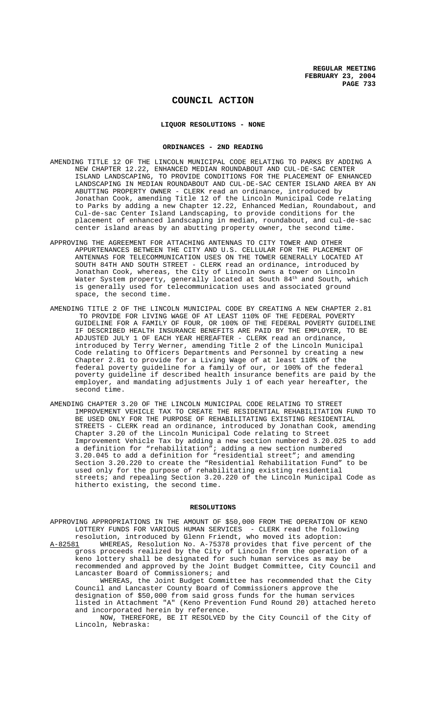# **COUNCIL ACTION**

## **LIQUOR RESOLUTIONS - NONE**

### **ORDINANCES - 2ND READING**

- AMENDING TITLE 12 OF THE LINCOLN MUNICIPAL CODE RELATING TO PARKS BY ADDING A NEW CHAPTER 12.22, ENHANCED MEDIAN ROUNDABOUT AND CUL-DE-SAC CENTER ISLAND LANDSCAPING, TO PROVIDE CONDITIONS FOR THE PLACEMENT OF ENHANCED LANDSCAPING IN MEDIAN ROUNDABOUT AND CUL-DE-SAC CENTER ISLAND AREA BY AN ABUTTING PROPERTY OWNER - CLERK read an ordinance, introduced by Jonathan Cook, amending Title 12 of the Lincoln Municipal Code relating to Parks by adding a new Chapter 12.22, Enhanced Median, Roundabout, and Cul-de-sac Center Island Landscaping, to provide conditions for the placement of enhanced landscaping in median, roundabout, and cul-de-sac center island areas by an abutting property owner, the second time.
- APPROVING THE AGREEMENT FOR ATTACHING ANTENNAS TO CITY TOWER AND OTHER APPURTENANCES BETWEEN THE CITY AND U.S. CELLULAR FOR THE PLACEMENT OF ANTENNAS FOR TELECOMMUNICATION USES ON THE TOWER GENERALLY LOCATED AT SOUTH 84TH AND SOUTH STREET - CLERK read an ordinance, introduced by Jonathan Cook, whereas, the City of Lincoln owns a tower on Lincoln Water System property, generally located at South  $84^{\rm th}$  and South, which is generally used for telecommunication uses and associated ground space, the second time.
- AMENDING TITLE 2 OF THE LINCOLN MUNICIPAL CODE BY CREATING A NEW CHAPTER 2.81 TO PROVIDE FOR LIVING WAGE OF AT LEAST 110% OF THE FEDERAL POVERTY GUIDELINE FOR A FAMILY OF FOUR, OR 100% OF THE FEDERAL POVERTY GUIDELINE IF DESCRIBED HEALTH INSURANCE BENEFITS ARE PAID BY THE EMPLOYER, TO BE ADJUSTED JULY 1 OF EACH YEAR HEREAFTER - CLERK read an ordinance, introduced by Terry Werner, amending Title 2 of the Lincoln Municipal Code relating to Officers Departments and Personnel by creating a new Chapter 2.81 to provide for a Living Wage of at least 110% of the federal poverty guideline for a family of our, or 100% of the federal poverty guideline if described health insurance benefits are paid by the employer, and mandating adjustments July 1 of each year hereafter, the second time.
- AMENDING CHAPTER 3.20 OF THE LINCOLN MUNICIPAL CODE RELATING TO STREET IMPROVEMENT VEHICLE TAX TO CREATE THE RESIDENTIAL REHABILITATION FUND TO BE USED ONLY FOR THE PURPOSE OF REHABILITATING EXISTING RESIDENTIAL STREETS - CLERK read an ordinance, introduced by Jonathan Cook, amending Chapter 3.20 of the Lincoln Municipal Code relating to Street Improvement Vehicle Tax by adding a new section numbered 3.20.025 to add a definition for "rehabilitation"; adding a new section numbered 3.20.045 to add a definition for "residential street"; and amending Section 3.20.220 to create the "Residential Rehabilitation Fund" to be used only for the purpose of rehabilitating existing residential streets; and repealing Section 3.20.220 of the Lincoln Municipal Code as hitherto existing, the second time.

#### **RESOLUTIONS**

APPROVING APPROPRIATIONS IN THE AMOUNT OF \$50,000 FROM THE OPERATION OF KENO LOTTERY FUNDS FOR VARIOUS HUMAN SERVICES - CLERK read the following resolution, introduced by Glenn Friendt, who moved its adoption:

A-82581 WHEREAS, Resolution No. A-75378 provides that five percent of the gross proceeds realized by the City of Lincoln from the operation of a keno lottery shall be designated for such human services as may be recommended and approved by the Joint Budget Committee, City Council and Lancaster Board of Commissioners; and

WHEREAS, the Joint Budget Committee has recommended that the City Council and Lancaster County Board of Commissioners approve the designation of \$50,000 from said gross funds for the human services listed in Attachment "A" (Keno Prevention Fund Round 20) attached hereto and incorporated herein by reference.

NOW, THEREFORE, BE IT RESOLVED by the City Council of the City of Lincoln, Nebraska: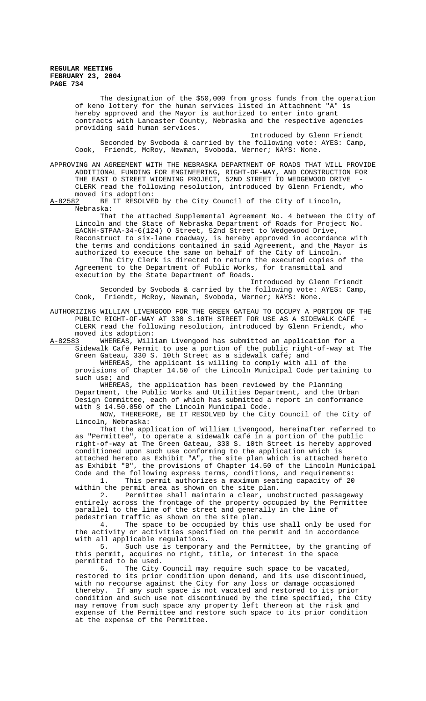> The designation of the \$50,000 from gross funds from the operation of keno lottery for the human services listed in Attachment "A" is hereby approved and the Mayor is authorized to enter into grant contracts with Lancaster County, Nebraska and the respective agencies providing said human services.

Introduced by Glenn Friendt Seconded by Svoboda & carried by the following vote: AYES: Camp, Cook, Friendt, McRoy, Newman, Svoboda, Werner; NAYS: None.

APPROVING AN AGREEMENT WITH THE NEBRASKA DEPARTMENT OF ROADS THAT WILL PROVIDE ADDITIONAL FUNDING FOR ENGINEERING, RIGHT-OF-WAY, AND CONSTRUCTION FOR THE EAST O STREET WIDENING PROJECT, 52ND STREET TO WEDGEWOOD DRIVE CLERK read the following resolution, introduced by Glenn Friendt, who moved its adoption:<br>A-82582 BE IT RESOLVE

BE IT RESOLVED by the City Council of the City of Lincoln, Nebraska:

That the attached Supplemental Agreement No. 4 between the City of Lincoln and the State of Nebraska Department of Roads for Project No. EACNH-STPAA-34-6(124) O Street, 52nd Street to Wedgewood Drive, Reconstruct to six-lane roadway, is hereby approved in accordance with the terms and conditions contained in said Agreement, and the Mayor is authorized to execute the same on behalf of the City of Lincoln.

The City Clerk is directed to return the executed copies of the Agreement to the Department of Public Works, for transmittal and execution by the State Department of Roads.

Introduced by Glenn Friendt Seconded by Svoboda & carried by the following vote: AYES: Camp, Cook, Friendt, McRoy, Newman, Svoboda, Werner; NAYS: None.

AUTHORIZING WILLIAM LIVENGOOD FOR THE GREEN GATEAU TO OCCUPY A PORTION OF THE PUBLIC RIGHT-OF-WAY AT 330 S.10TH STREET FOR USE AS A SIDEWALK CAFÉ CLERK read the following resolution, introduced by Glenn Friendt, who moved its adoption:<br>A-82583 WHEREAS, Will

WHEREAS, William Livengood has submitted an application for a Sidewalk Café Permit to use a portion of the public right-of-way at The Green Gateau, 330 S. 10th Street as a sidewalk café; and

WHEREAS, the applicant is willing to comply with all of the provisions of Chapter 14.50 of the Lincoln Municipal Code pertaining to such use; and

WHEREAS, the application has been reviewed by the Planning Department, the Public Works and Utilities Department, and the Urban Design Committee, each of which has submitted a report in conformance with § 14.50.050 of the Lincoln Municipal Code.

NOW, THEREFORE, BE IT RESOLVED by the City Council of the City of Lincoln, Nebraska:

That the application of William Livengood, hereinafter referred to as "Permittee", to operate a sidewalk café in a portion of the public right-of-way at The Green Gateau, 330 S. 10th Street is hereby approved conditioned upon such use conforming to the application which is attached hereto as Exhibit "A", the site plan which is attached hereto as Exhibit "B", the provisions of Chapter 14.50 of the Lincoln Municipal Code and the following express terms, conditions, and requirements: 1. This permit authorizes a maximum seating capacity of 20

within the permit area as shown on the site plan.

2. Permittee shall maintain a clear, unobstructed passageway entirely across the frontage of the property occupied by the Permittee parallel to the line of the street and generally in the line of pedestrian traffic as shown on the site plan.

4. The space to be occupied by this use shall only be used for the activity or activities specified on the permit and in accordance with all applicable regulations.<br>5. Such use is temporary

Such use is temporary and the Permittee, by the granting of this permit, acquires no right, title, or interest in the space permitted to be used.

6. The City Council may require such space to be vacated, restored to its prior condition upon demand, and its use discontinued, with no recourse against the City for any loss or damage occasioned thereby. If any such space is not vacated and restored to its prior condition and such use not discontinued by the time specified, the City may remove from such space any property left thereon at the risk and expense of the Permittee and restore such space to its prior condition at the expense of the Permittee.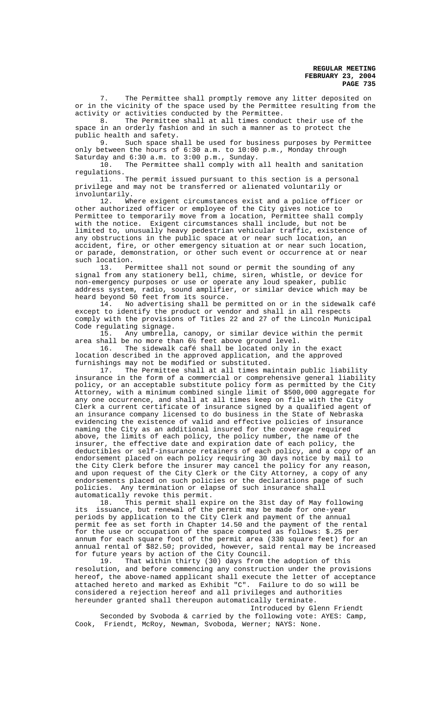7. The Permittee shall promptly remove any litter deposited on or in the vicinity of the space used by the Permittee resulting from the activity or activities conducted by the Permittee.

8. The Permittee shall at all times conduct their use of the space in an orderly fashion and in such a manner as to protect the public health and safety.

9. Such space shall be used for business purposes by Permittee only between the hours of 6:30 a.m. to 10:00 p.m., Monday through Saturday and 6:30 a.m. to 3:00 p.m., Sunday.

10. The Permittee shall comply with all health and sanitation

regulations. The permit issued pursuant to this section is a personal privilege and may not be transferred or alienated voluntarily or involuntarily.

12. Where exigent circumstances exist and a police officer or other authorized officer or employee of the City gives notice to Permittee to temporarily move from a location, Permittee shall comply with the notice. Exigent circumstances shall include, but not be limited to, unusually heavy pedestrian vehicular traffic, existence of any obstructions in the public space at or near such location, an accident, fire, or other emergency situation at or near such location, or parade, demonstration, or other such event or occurrence at or near such location.

13. Permittee shall not sound or permit the sounding of any signal from any stationery bell, chime, siren, whistle, or device for non-emergency purposes or use or operate any loud speaker, public address system, radio, sound amplifier, or similar device which may be

heard beyond 50 feet from its source.<br>14. No advertising shall be pe No advertising shall be permitted on or in the sidewalk café except to identify the product or vendor and shall in all respects comply with the provisions of Titles 22 and 27 of the Lincoln Municipal Code regulating signage.<br>15. Any umbrella

Any umbrella, canopy, or similar device within the permit area shall be no more than 6½ feet above ground level.

The sidewalk café shall be located only in the exact location described in the approved application, and the approved furnishings may not be modified or substituted.<br>17. The Permittee shall at all times ma

The Permittee shall at all times maintain public liability insurance in the form of a commercial or comprehensive general liability policy, or an acceptable substitute policy form as permitted by the City Attorney, with a minimum combined single limit of \$500,000 aggregate for any one occurrence, and shall at all times keep on file with the City Clerk a current certificate of insurance signed by a qualified agent of an insurance company licensed to do business in the State of Nebraska evidencing the existence of valid and effective policies of insurance naming the City as an additional insured for the coverage required above, the limits of each policy, the policy number, the name of the insurer, the effective date and expiration date of each policy, the deductibles or self-insurance retainers of each policy, and a copy of an endorsement placed on each policy requiring 30 days notice by mail to the City Clerk before the insurer may cancel the policy for any reason, and upon request of the City Clerk or the City Attorney, a copy of any endorsements placed on such policies or the declarations page of such policies. Any termination or elapse of such insurance shall automatically revoke this permit.

18. This permit shall expire on the 31st day of May following its issuance, but renewal of the permit may be made for one-year periods by application to the City Clerk and payment of the annual permit fee as set forth in Chapter 14.50 and the payment of the rental for the use or occupation of the space computed as follows: \$.25 per annum for each square foot of the permit area (330 square feet) for an annual rental of \$82.50; provided, however, said rental may be increased for future years by action of the City Council.

19. That within thirty (30) days from the adoption of this resolution, and before commencing any construction under the provisions hereof, the above-named applicant shall execute the letter of acceptance attached hereto and marked as Exhibit "C". Failure to do so will be considered a rejection hereof and all privileges and authorities hereunder granted shall thereupon automatically terminate.

Introduced by Glenn Friendt

Seconded by Svoboda & carried by the following vote: AYES: Camp, Cook, Friendt, McRoy, Newman, Svoboda, Werner; NAYS: None.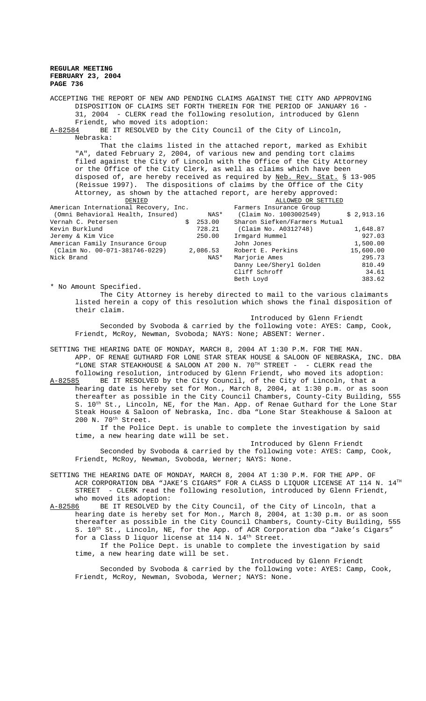ACCEPTING THE REPORT OF NEW AND PENDING CLAIMS AGAINST THE CITY AND APPROVING DISPOSITION OF CLAIMS SET FORTH THEREIN FOR THE PERIOD OF JANUARY 16 - 31, 2004 - CLERK read the following resolution, introduced by Glenn Friendt, who moved its adoption: A-82584 BE IT RESOLVED by the City Council of the City of Lincoln, Nebraska: That the claims listed in the attached report, marked as Exhibit "A", dated February 2, 2004, of various new and pending tort claims filed against the City of Lincoln with the Office of the City Attorney or the Office of the City Clerk, as well as claims which have been disposed of, are hereby received as required by Neb. Rev. Stat. § 13-905 (Reissue 1997). The dispositions of claims by the Office of the City Attorney, as shown by the attached report, are hereby approved:  $\begin{tabular}{lcl} \underline{\texttt{DENIED}}\\ \texttt{half Recovery, Inc.} \end{tabular} \begin{tabular}{lcl} \underline{\texttt{NELOWED OR SETTLED}}\\ \texttt{Equation} & \texttt{Necovery, Inc.} \end{tabular}$ American International Recovery, Inc. (Omni Behavioral Health, Insured) (Claim No. 1003002549) \$ 2,913.16<br>
ernah C. Petersen \$ 253.00 Sharon Siefken/Farmers Mutual Vernah C. Petersen \$ 253.00 Sharon Siefken/Farmers Mutual 728.21 (Claim No. A0312748) 1,648.87<br>250.00 Irmgard Hummel 927.03 Jeremy & Kim Vice 250.00 Irmgard Hummel 927.03 American Family Insurance Group John Jones 1,500.00 (Claim No. 00-071-381746-0229) 2,086.53<br>Nick Brand NAS\* Marjorie Ames 295.73 Danny Lee/Sheryl Golden 810.49 Cliff Schroff 34.61 Beth Loyd 383.62 \* No Amount Specified.

The City Attorney is hereby directed to mail to the various claimants listed herein a copy of this resolution which shows the final disposition of their claim.

Introduced by Glenn Friendt

Seconded by Svoboda & carried by the following vote: AYES: Camp, Cook, Friendt, McRoy, Newman, Svoboda; NAYS: None; ABSENT: Werner.

SETTING THE HEARING DATE OF MONDAY, MARCH 8, 2004 AT 1:30 P.M. FOR THE MAN. APP. OF RENAE GUTHARD FOR LONE STAR STEAK HOUSE & SALOON OF NEBRASKA, INC. DBA "LONE STAR STEAKHOUSE & SALOON AT 200 N.  $70^{TH}$  STREET - - CLERK read the following resolution, introduced by Glenn Friendt, who moved its adoption:

A-82585 BE IT RESOLVED by the City Council, of the City of Lincoln, that a hearing date is hereby set for Mon., March 8, 2004, at 1:30 p.m. or as soon thereafter as possible in the City Council Chambers, County-City Building, 555 S. 10<sup>th</sup> St., Lincoln, NE, for the Man. App. of Renae Guthard for the Lone Star Steak House & Saloon of Nebraska, Inc. dba "Lone Star Steakhouse & Saloon at 200 N. 70th Street.

If the Police Dept. is unable to complete the investigation by said time, a new hearing date will be set.

Introduced by Glenn Friendt Seconded by Svoboda & carried by the following vote: AYES: Camp, Cook, Friendt, McRoy, Newman, Svoboda, Werner; NAYS: None.

SETTING THE HEARING DATE OF MONDAY, MARCH 8, 2004 AT 1:30 P.M. FOR THE APP. OF ACR CORPORATION DBA "JAKE'S CIGARS" FOR A CLASS D LIQUOR LICENSE AT 114 N.  $14^{\text{TH}}$ STREET - CLERK read the following resolution, introduced by Glenn Friendt, who moved its adoption:

A-82586 BE IT RESOLVED by the City Council, of the City of Lincoln, that a hearing date is hereby set for Mon., March 8, 2004, at 1:30 p.m. or as soon thereafter as possible in the City Council Chambers, County-City Building, 555 S.  $10^{th}$  St., Lincoln, NE, for the App. of ACR Corporation dba "Jake's Cigars" for a Class D liquor license at  $114$  N.  $14<sup>th</sup>$  Street.

If the Police Dept. is unable to complete the investigation by said time, a new hearing date will be set. Introduced by Glenn Friendt

Seconded by Svoboda & carried by the following vote: AYES: Camp, Cook, Friendt, McRoy, Newman, Svoboda, Werner; NAYS: None.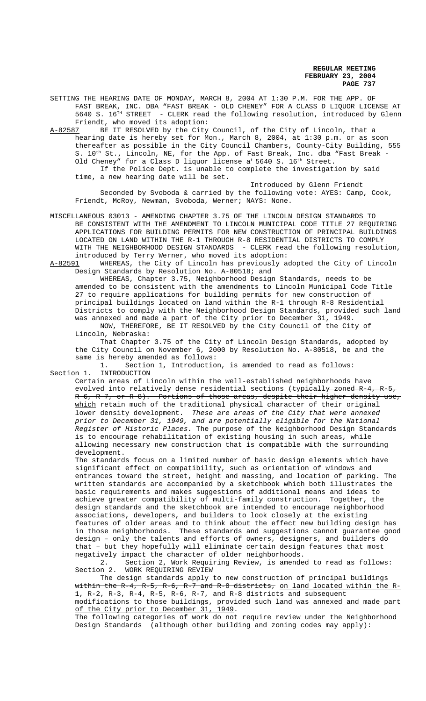SETTING THE HEARING DATE OF MONDAY, MARCH 8, 2004 AT 1:30 P.M. FOR THE APP. OF FAST BREAK, INC. DBA "FAST BREAK - OLD CHENEY" FOR A CLASS D LIQUOR LICENSE AT 5640 S. 16TH STREET - CLERK read the following resolution, introduced by Glenn Friendt, who moved its adoption:

A-82587 BE IT RESOLVED by the City Council, of the City of Lincoln, that a hearing date is hereby set for Mon., March 8, 2004, at 1:30 p.m. or as soon thereafter as possible in the City Council Chambers, County-City Building, 555 S. 10<sup>th</sup> St., Lincoln, NE, for the App. of Fast Break, Inc. dba "Fast Break Old Cheney" for a Class D liquor license  $a^t$  5640 S. 16<sup>th</sup> Street. If the Police Dept. is unable to complete the investigation by said time, a new hearing date will be set.

Introduced by Glenn Friendt Seconded by Svoboda & carried by the following vote: AYES: Camp, Cook, Friendt, McRoy, Newman, Svoboda, Werner; NAYS: None.

MISCELLANEOUS 03013 - AMENDING CHAPTER 3.75 OF THE LINCOLN DESIGN STANDARDS TO BE CONSISTENT WITH THE AMENDMENT TO LINCOLN MUNICIPAL CODE TITLE 27 REQUIRING APPLICATIONS FOR BUILDING PERMITS FOR NEW CONSTRUCTION OF PRINCIPAL BUILDINGS LOCATED ON LAND WITHIN THE R-1 THROUGH R-8 RESIDENTIAL DISTRICTS TO COMPLY WITH THE NEIGHBORHOOD DESIGN STANDARDS - CLERK read the following resolution, introduced by Terry Werner, who moved its adoption:

A-82591 WHEREAS, the City of Lincoln has previously adopted the City of Lincoln Design Standards by Resolution No. A-80518; and

WHEREAS, Chapter 3.75, Neighborhood Design Standards, needs to be amended to be consistent with the amendments to Lincoln Municipal Code Title 27 to require applications for building permits for new construction of principal buildings located on land within the R-1 through R-8 Residential Districts to comply with the Neighborhood Design Standards, provided such land was annexed and made a part of the City prior to December 31, 1949.

NOW, THEREFORE, BE IT RESOLVED by the City Council of the City of Lincoln, Nebraska:

That Chapter 3.75 of the City of Lincoln Design Standards, adopted by the City Council on November 6, 2000 by Resolution No. A-80518, be and the same is hereby amended as follows:

1. Section 1, Introduction, is amended to read as follows: Section 1. INTRODUCTION

Certain areas of Lincoln within the well-established neighborhoods have evolved into relatively dense residential sections (typically zoned R-4, R-5, R-6, R-7, or R-8). Portions of those areas, despite their higher density use, which retain much of the traditional physical character of their original lower density development. These are areas of the City that were annexed prior to December 31, 1949, and are potentially eligible for the National Register of Historic Places. The purpose of the Neighborhood Design Standards is to encourage rehabilitation of existing housing in such areas, while allowing necessary new construction that is compatible with the surrounding development.

The standards focus on a limited number of basic design elements which have significant effect on compatibility, such as orientation of windows and entrances toward the street, height and massing, and location of parking. The written standards are accompanied by a sketchbook which both illustrates the basic requirements and makes suggestions of additional means and ideas to achieve greater compatibility of multi-family construction. Together, the design standards and the sketchbook are intended to encourage neighborhood associations, developers, and builders to look closely at the existing features of older areas and to think about the effect new building design has in those neighborhoods. These standards and suggestions cannot guarantee good design – only the talents and efforts of owners, designers, and builders do that – but they hopefully will eliminate certain design features that most negatively impact the character of older neighborhoods.

2. Section 2, Work Requiring Review, is amended to read as follows: Section 2. WORK REQUIRING REVIEW

The design standards apply to new construction of principal buildings within the R-4, R-5, R-6, R-7 and R-8 districts, on land located within the R-1, R-2, R-3, R-4, R-5, R-6, R-7, and R-8 districts and subsequent

modifications to those buildings, provided such land was annexed and made part of the City prior to December 31, 1949.

The following categories of work do not require review under the Neighborhood Design Standards (although other building and zoning codes may apply):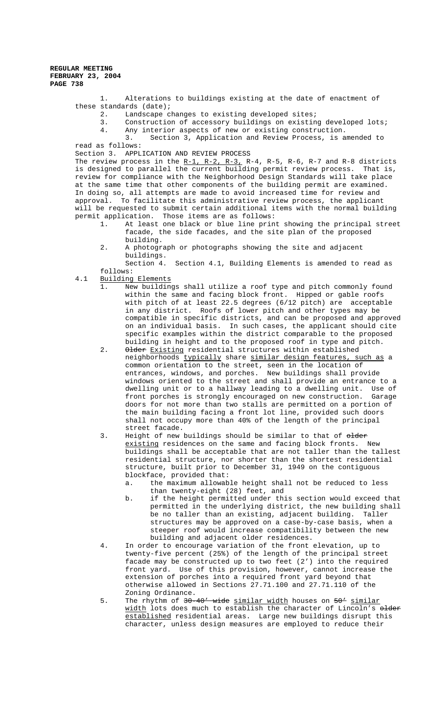1. Alterations to buildings existing at the date of enactment of these standards (date);

- 2. Landscape changes to existing developed sites;
- 3. Construction of accessory buildings on existing developed lots;
- 4. Any interior aspects of new or existing construction.
- 3. Section 3, Application and Review Process, is amended to read as follows:

Section 3. APPLICATION AND REVIEW PROCESS

The review process in the  $R-1$ ,  $R-2$ ,  $R-3$ ,  $R-4$ ,  $R-5$ ,  $R-6$ ,  $R-7$  and  $R-8$  districts is designed to parallel the current building permit review process. That is, review for compliance with the Neighborhood Design Standards will take place at the same time that other components of the building permit are examined. In doing so, all attempts are made to avoid increased time for review and approval. To facilitate this administrative review process, the applicant will be requested to submit certain additional items with the normal building permit application. Those items are as follows:

- 1. At least one black or blue line print showing the principal street facade, the side facades, and the site plan of the proposed building.
- 2. A photograph or photographs showing the site and adjacent buildings.
- Section 4. Section 4.1, Building Elements is amended to read as follows:
- 4.1 Building Elements
	- 1. New buildings shall utilize a roof type and pitch commonly found within the same and facing block front. Hipped or gable roofs with pitch of at least 22.5 degrees (6/12 pitch) are acceptable in any district. Roofs of lower pitch and other types may be compatible in specific districts, and can be proposed and approved on an individual basis. In such cases, the applicant should cite specific examples within the district comparable to the proposed building in height and to the proposed roof in type and pitch.
	- 2. Older Existing residential structures within established neighborhoods typically share similar design features, such as a common orientation to the street, seen in the location of entrances, windows, and porches. New buildings shall provide windows oriented to the street and shall provide an entrance to a dwelling unit or to a hallway leading to a dwelling unit. Use of front porches is strongly encouraged on new construction. Garage doors for not more than two stalls are permitted on a portion of the main building facing a front lot line, provided such doors shall not occupy more than 40% of the length of the principal street facade.
	- 3. Height of new buildings should be similar to that of older existing residences on the same and facing block fronts. New buildings shall be acceptable that are not taller than the tallest residential structure, nor shorter than the shortest residential structure, built prior to December 31, 1949 on the contiguous blockface, provided that:
		- a. the maximum allowable height shall not be reduced to less than twenty-eight (28) feet, and
		- b. if the height permitted under this section would exceed that permitted in the underlying district, the new building shall be no taller than an existing, adjacent building. Taller structures may be approved on a case-by-case basis, when a steeper roof would increase compatibility between the new building and adjacent older residences.
	- 4. In order to encourage variation of the front elevation, up to twenty-five percent (25%) of the length of the principal street facade may be constructed up to two feet (2') into the required front yard. Use of this provision, however, cannot increase the extension of porches into a required front yard beyond that otherwise allowed in Sections 27.71.100 and 27.71.110 of the Zoning Ordinance.
	- 5. The rhythm of 30-40' wide similar width houses on 50' similar width lots does much to establish the character of Lincoln's older established residential areas. Large new buildings disrupt this character, unless design measures are employed to reduce their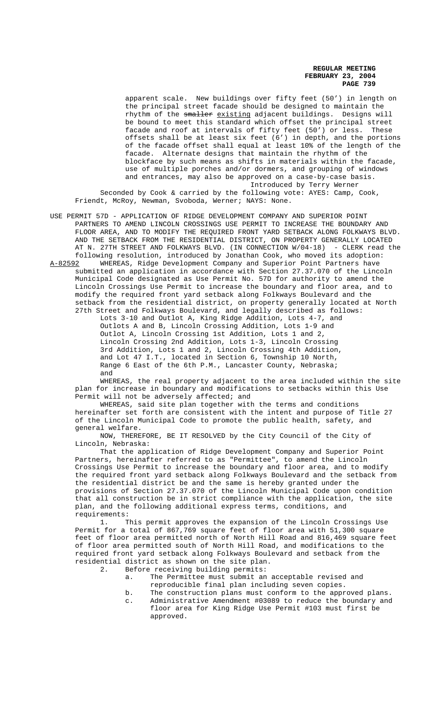apparent scale. New buildings over fifty feet (50') in length on the principal street facade should be designed to maintain the rhythm of the smaller existing adjacent buildings. Designs will be bound to meet this standard which offset the principal street facade and roof at intervals of fifty feet (50') or less. These offsets shall be at least six feet (6') in depth, and the portions of the facade offset shall equal at least 10% of the length of the facade. Alternate designs that maintain the rhythm of the blockface by such means as shifts in materials within the facade, use of multiple porches and/or dormers, and grouping of windows and entrances, may also be approved on a case-by-case basis. Introduced by Terry Werner Seconded by Cook & carried by the following vote: AYES: Camp, Cook, Friendt, McRoy, Newman, Svoboda, Werner; NAYS: None.

USE PERMIT 57D - APPLICATION OF RIDGE DEVELOPMENT COMPANY AND SUPERIOR POINT PARTNERS TO AMEND LINCOLN CROSSINGS USE PERMIT TO INCREASE THE BOUNDARY AND FLOOR AREA, AND TO MODIFY THE REQUIRED FRONT YARD SETBACK ALONG FOLKWAYS BLVD. AND THE SETBACK FROM THE RESIDENTIAL DISTRICT, ON PROPERTY GENERALLY LOCATED AT N. 27TH STREET AND FOLKWAYS BLVD. (IN CONNECTION W/04-18) - CLERK read the following resolution, introduced by Jonathan Cook, who moved its adoption:

A-82592 WHEREAS, Ridge Development Company and Superior Point Partners have submitted an application in accordance with Section 27.37.070 of the Lincoln Municipal Code designated as Use Permit No. 57D for authority to amend the Lincoln Crossings Use Permit to increase the boundary and floor area, and to modify the required front yard setback along Folkways Boulevard and the setback from the residential district, on property generally located at North 27th Street and Folkways Boulevard, and legally described as follows:

Lots 3-10 and Outlot A, King Ridge Addition, Lots 4-7, and Outlots A and B, Lincoln Crossing Addition, Lots 1-9 and Outlot A, Lincoln Crossing 1st Addition, Lots 1 and 2, Lincoln Crossing 2nd Addition, Lots 1-3, Lincoln Crossing 3rd Addition, Lots 1 and 2, Lincoln Crossing 4th Addition, and Lot 47 I.T., located in Section 6, Township 10 North, Range 6 East of the 6th P.M., Lancaster County, Nebraska; and

WHEREAS, the real property adjacent to the area included within the site plan for increase in boundary and modifications to setbacks within this Use Permit will not be adversely affected; and

WHEREAS, said site plan together with the terms and conditions hereinafter set forth are consistent with the intent and purpose of Title 27 of the Lincoln Municipal Code to promote the public health, safety, and general welfare.

NOW, THEREFORE, BE IT RESOLVED by the City Council of the City of Lincoln, Nebraska:

That the application of Ridge Development Company and Superior Point Partners, hereinafter referred to as "Permittee", to amend the Lincoln Crossings Use Permit to increase the boundary and floor area, and to modify the required front yard setback along Folkways Boulevard and the setback from the residential district be and the same is hereby granted under the provisions of Section 27.37.070 of the Lincoln Municipal Code upon condition that all construction be in strict compliance with the application, the site plan, and the following additional express terms, conditions, and requirements:

1. This permit approves the expansion of the Lincoln Crossings Use Permit for a total of 867,769 square feet of floor area with 51,300 square feet of floor area permitted north of North Hill Road and 816,469 square feet of floor area permitted south of North Hill Road, and modifications to the required front yard setback along Folkways Boulevard and setback from the residential district as shown on the site plan.

- 2. Before receiving building permits:
	- a. The Permittee must submit an acceptable revised and reproducible final plan including seven copies.
	- b. The construction plans must conform to the approved plans. c. Administrative Amendment #03089 to reduce the boundary and floor area for King Ridge Use Permit #103 must first be approved.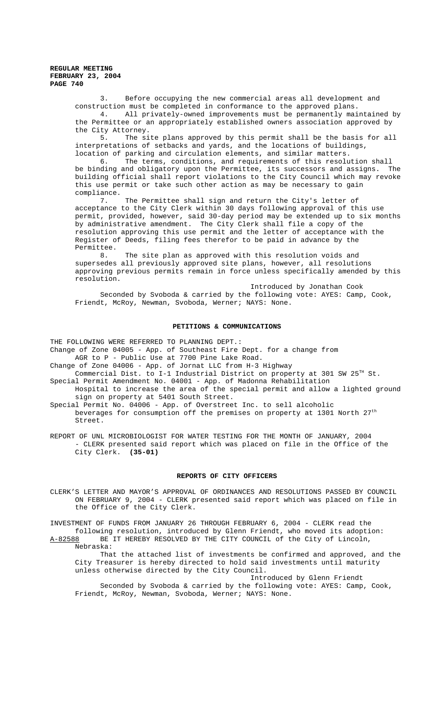> 3. Before occupying the new commercial areas all development and construction must be completed in conformance to the approved plans.

4. All privately-owned improvements must be permanently maintained by the Permittee or an appropriately established owners association approved by the City Attorney.

5. The site plans approved by this permit shall be the basis for all interpretations of setbacks and yards, and the locations of buildings, location of parking and circulation elements, and similar matters.

6. The terms, conditions, and requirements of this resolution shall be binding and obligatory upon the Permittee, its successors and assigns. The building official shall report violations to the City Council which may revoke this use permit or take such other action as may be necessary to gain compliance.

7. The Permittee shall sign and return the City's letter of acceptance to the City Clerk within 30 days following approval of this use permit, provided, however, said 30-day period may be extended up to six months by administrative amendment. The City Clerk shall file a copy of the resolution approving this use permit and the letter of acceptance with the Register of Deeds, filing fees therefor to be paid in advance by the Permittee.

8. The site plan as approved with this resolution voids and supersedes all previously approved site plans, however, all resolutions approving previous permits remain in force unless specifically amended by this resolution.

Introduced by Jonathan Cook Seconded by Svoboda & carried by the following vote: AYES: Camp, Cook, Friendt, McRoy, Newman, Svoboda, Werner; NAYS: None.

#### **PETITIONS & COMMUNICATIONS**

THE FOLLOWING WERE REFERRED TO PLANNING DEPT.:

- Change of Zone 04005 App. of Southeast Fire Dept. for a change from
- AGR to P Public Use at 7700 Pine Lake Road.
- Change of Zone 04006 App. of Jornat LLC from H-3 Highway
- Commercial Dist. to I-1 Industrial District on property at 301 SW  $25^{TH}$  St. Special Permit Amendment No. 04001 - App. of Madonna Rehabilitation
- Hospital to increase the area of the special permit and allow a lighted ground sign on property at 5401 South Street.
- Special Permit No. 04006 App. of Overstreet Inc. to sell alcoholic beverages for consumption off the premises on property at 1301 North 27<sup>th</sup> Street.
- REPORT OF UNL MICROBIOLOGIST FOR WATER TESTING FOR THE MONTH OF JANUARY, 2004 - CLERK presented said report which was placed on file in the Office of the City Clerk. **(35-01)**

#### **REPORTS OF CITY OFFICERS**

CLERK'S LETTER AND MAYOR'S APPROVAL OF ORDINANCES AND RESOLUTIONS PASSED BY COUNCIL ON FEBRUARY 9, 2004 - CLERK presented said report which was placed on file in the Office of the City Clerk.

INVESTMENT OF FUNDS FROM JANUARY 26 THROUGH FEBRUARY 6, 2004 - CLERK read the following resolution, introduced by Glenn Friendt, who moved its adoption:

A-82588 BE IT HEREBY RESOLVED BY THE CITY COUNCIL of the City of Lincoln, Nebraska:

That the attached list of investments be confirmed and approved, and the City Treasurer is hereby directed to hold said investments until maturity unless otherwise directed by the City Council.

Introduced by Glenn Friendt Seconded by Svoboda & carried by the following vote: AYES: Camp, Cook, Friendt, McRoy, Newman, Svoboda, Werner; NAYS: None.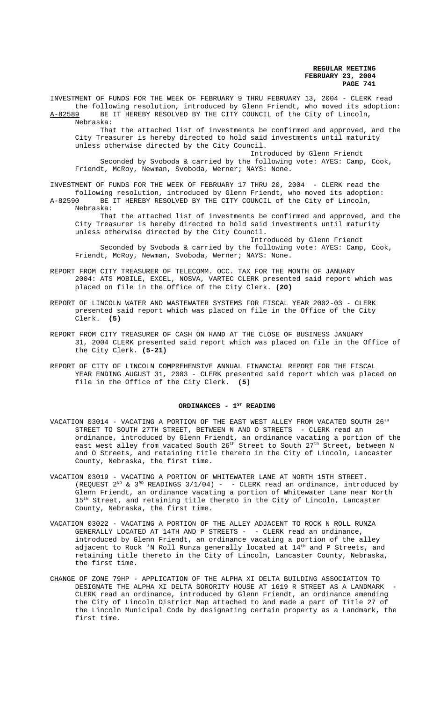INVESTMENT OF FUNDS FOR THE WEEK OF FEBRUARY 9 THRU FEBRUARY 13, 2004 - CLERK read the following resolution, introduced by Glenn Friendt, who moved its adoption: A-82589 BE IT HEREBY RESOLVED BY THE CITY COUNCIL of the City of Lincoln,

Nebraska:

That the attached list of investments be confirmed and approved, and the City Treasurer is hereby directed to hold said investments until maturity unless otherwise directed by the City Council.

Introduced by Glenn Friendt

Seconded by Svoboda & carried by the following vote: AYES: Camp, Cook, Friendt, McRoy, Newman, Svoboda, Werner; NAYS: None.

INVESTMENT OF FUNDS FOR THE WEEK OF FEBRUARY 17 THRU 20, 2004 - CLERK read the following resolution, introduced by Glenn Friendt, who moved its adoption: A-82590 BE IT HEREBY RESOLVED BY THE CITY COUNCIL of the City of Lincoln, Nebraska:

That the attached list of investments be confirmed and approved, and the City Treasurer is hereby directed to hold said investments until maturity unless otherwise directed by the City Council.

Introduced by Glenn Friendt Seconded by Svoboda & carried by the following vote: AYES: Camp, Cook, Friendt, McRoy, Newman, Svoboda, Werner; NAYS: None.

- REPORT FROM CITY TREASURER OF TELECOMM. OCC. TAX FOR THE MONTH OF JANUARY 2004: ATS MOBILE, EXCEL, NOSVA, VARTEC CLERK presented said report which was placed on file in the Office of the City Clerk. **(20)**
- REPORT OF LINCOLN WATER AND WASTEWATER SYSTEMS FOR FISCAL YEAR 2002-03 CLERK presented said report which was placed on file in the Office of the City Clerk. **(5)**
- REPORT FROM CITY TREASURER OF CASH ON HAND AT THE CLOSE OF BUSINESS JANUARY 31, 2004 CLERK presented said report which was placed on file in the Office of the City Clerk. **(5-21)**
- REPORT OF CITY OF LINCOLN COMPREHENSIVE ANNUAL FINANCIAL REPORT FOR THE FISCAL YEAR ENDING AUGUST 31, 2003 - CLERK presented said report which was placed on file in the Office of the City Clerk. **(5)**

### ORDINANCES - 1<sup>st</sup> READING

- VACATION 03014 VACATING A PORTION OF THE EAST WEST ALLEY FROM VACATED SOUTH  $26^{TH}$ STREET TO SOUTH 27TH STREET, BETWEEN N AND O STREETS - CLERK read an ordinance, introduced by Glenn Friendt, an ordinance vacating a portion of the east west alley from vacated South 26<sup>th</sup> Street to South 27<sup>th</sup> Street, between N and O Streets, and retaining title thereto in the City of Lincoln, Lancaster County, Nebraska, the first time.
- VACATION 03019 VACATING A PORTION OF WHITEWATER LANE AT NORTH 15TH STREET. (REQUEST  $2^{ND}$  &  $3^{RD}$  READINGS  $3/1/04$ ) - - CLERK read an ordinance, introduced by Glenn Friendt, an ordinance vacating a portion of Whitewater Lane near North 15<sup>th</sup> Street, and retaining title thereto in the City of Lincoln, Lancaster County, Nebraska, the first time.
- VACATION 03022 VACATING A PORTION OF THE ALLEY ADJACENT TO ROCK N ROLL RUNZA GENERALLY LOCATED AT 14TH AND P STREETS - - CLERK read an ordinance, introduced by Glenn Friendt, an ordinance vacating a portion of the alley adjacent to Rock 'N Roll Runza generally located at 14<sup>th</sup> and P Streets, and retaining title thereto in the City of Lincoln, Lancaster County, Nebraska, the first time.
- CHANGE OF ZONE 79HP APPLICATION OF THE ALPHA XI DELTA BUILDING ASSOCIATION TO DESIGNATE THE ALPHA XI DELTA SORORITY HOUSE AT 1619 R STREET AS A LANDMARK CLERK read an ordinance, introduced by Glenn Friendt, an ordinance amending the City of Lincoln District Map attached to and made a part of Title 27 of the Lincoln Municipal Code by designating certain property as a Landmark, the first time.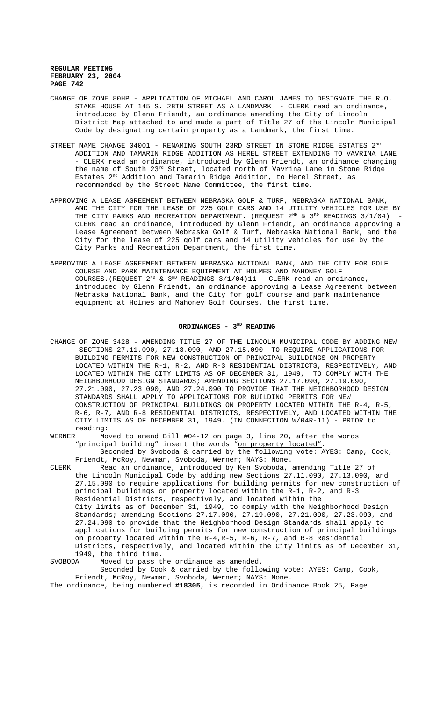- CHANGE OF ZONE 80HP APPLICATION OF MICHAEL AND CAROL JAMES TO DESIGNATE THE R.O. STAKE HOUSE AT 145 S. 28TH STREET AS A LANDMARK - CLERK read an ordinance, introduced by Glenn Friendt, an ordinance amending the City of Lincoln District Map attached to and made a part of Title 27 of the Lincoln Municipal Code by designating certain property as a Landmark, the first time.
- STREET NAME CHANGE 04001 RENAMING SOUTH 23RD STREET IN STONE RIDGE ESTATES  $2^{ND}$ ADDITION AND TAMARIN RIDGE ADDITION AS HEREL STREET EXTENDING TO VAVRINA LANE - CLERK read an ordinance, introduced by Glenn Friendt, an ordinance changing the name of South 23<sup>rd</sup> Street, located north of Vavrina Lane in Stone Ridge Estates 2<sup>nd</sup> Addition and Tamarin Ridge Addition, to Herel Street, as recommended by the Street Name Committee, the first time.
- APPROVING A LEASE AGREEMENT BETWEEN NEBRASKA GOLF & TURF, NEBRASKA NATIONAL BANK, AND THE CITY FOR THE LEASE OF 225 GOLF CARS AND 14 UTILITY VEHICLES FOR USE BY THE CITY PARKS AND RECREATION DEPARTMENT. (REQUEST  $2^{ND}$  &  $3^{RD}$  READINGS  $3/1/04$ ) -CLERK read an ordinance, introduced by Glenn Friendt, an ordinance approving a Lease Agreement between Nebraska Golf & Turf, Nebraska National Bank, and the City for the lease of 225 golf cars and 14 utility vehicles for use by the City Parks and Recreation Department, the first time.
- APPROVING A LEASE AGREEMENT BETWEEN NEBRASKA NATIONAL BANK, AND THE CITY FOR GOLF COURSE AND PARK MAINTENANCE EQUIPMENT AT HOLMES AND MAHONEY GOLF COURSES.(REQUEST  $2^{ND}$  &  $3^{RD}$  READINGS  $3/1/04$ )11 - CLERK read an ordinance, introduced by Glenn Friendt, an ordinance approving a Lease Agreement between Nebraska National Bank, and the City for golf course and park maintenance equipment at Holmes and Mahoney Golf Courses, the first time.

### ORDINANCES - 3<sup>RD</sup> READING

CHANGE OF ZONE 3428 - AMENDING TITLE 27 OF THE LINCOLN MUNICIPAL CODE BY ADDING NEW SECTIONS 27.11.090, 27.13.090, AND 27.15.090 TO REQUIRE APPLICATIONS FOR BUILDING PERMITS FOR NEW CONSTRUCTION OF PRINCIPAL BUILDINGS ON PROPERTY LOCATED WITHIN THE R-1, R-2, AND R-3 RESIDENTIAL DISTRICTS, RESPECTIVELY, AND LOCATED WITHIN THE CITY LIMITS AS OF DECEMBER 31, 1949, TO COMPLY WITH THE NEIGHBORHOOD DESIGN STANDARDS; AMENDING SECTIONS 27.17.090, 27.19.090, 27.21.090, 27.23.090, AND 27.24.090 TO PROVIDE THAT THE NEIGHBORHOOD DESIGN STANDARDS SHALL APPLY TO APPLICATIONS FOR BUILDING PERMITS FOR NEW CONSTRUCTION OF PRINCIPAL BUILDINGS ON PROPERTY LOCATED WITHIN THE R-4, R-5, R-6, R-7, AND R-8 RESIDENTIAL DISTRICTS, RESPECTIVELY, AND LOCATED WITHIN THE CITY LIMITS AS OF DECEMBER 31, 1949. (IN CONNECTION W/04R-11) - PRIOR to reading:

WERNER Moved to amend Bill #04-12 on page 3, line 20, after the words "principal building" insert the words "on property located". Seconded by Svoboda & carried by the following vote: AYES: Camp, Cook,

Friendt, McRoy, Newman, Svoboda, Werner; NAYS: None. CLERK Read an ordinance, introduced by Ken Svoboda, amending Title 27 of the Lincoln Municipal Code by adding new Sections 27.11.090, 27.13.090, and

27.15.090 to require applications for building permits for new construction of principal buildings on property located within the R-1, R-2, and R-3 Residential Districts, respectively, and located within the City limits as of December 31, 1949, to comply with the Neighborhood Design Standards; amending Sections 27.17.090, 27.19.090, 27.21.090, 27.23.090, and 27.24.090 to provide that the Neighborhood Design Standards shall apply to applications for building permits for new construction of principal buildings on property located within the R-4,R-5, R-6, R-7, and R-8 Residential Districts, respectively, and located within the City limits as of December 31, 1949, the third time.

SVOBODA Moved to pass the ordinance as amended.

Seconded by Cook & carried by the following vote: AYES: Camp, Cook, Friendt, McRoy, Newman, Svoboda, Werner; NAYS: None.

The ordinance, being numbered **#18305**, is recorded in Ordinance Book 25, Page